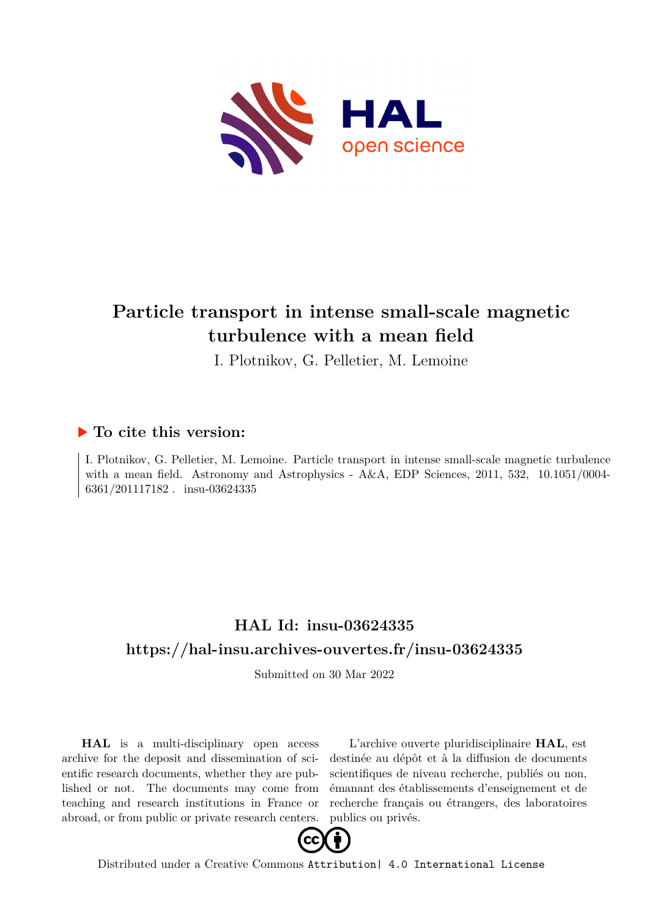

# **Particle transport in intense small-scale magnetic turbulence with a mean field**

I. Plotnikov, G. Pelletier, M. Lemoine

## **To cite this version:**

I. Plotnikov, G. Pelletier, M. Lemoine. Particle transport in intense small-scale magnetic turbulence with a mean field. Astronomy and Astrophysics -  $A&A$ , EDP Sciences, 2011, 532, 10.1051/0004-6361/201117182. insu-03624335

## **HAL Id: insu-03624335 <https://hal-insu.archives-ouvertes.fr/insu-03624335>**

Submitted on 30 Mar 2022

**HAL** is a multi-disciplinary open access archive for the deposit and dissemination of scientific research documents, whether they are published or not. The documents may come from teaching and research institutions in France or abroad, or from public or private research centers.

L'archive ouverte pluridisciplinaire **HAL**, est destinée au dépôt et à la diffusion de documents scientifiques de niveau recherche, publiés ou non, émanant des établissements d'enseignement et de recherche français ou étrangers, des laboratoires publics ou privés.



Distributed under a Creative Commons [Attribution| 4.0 International License](http://creativecommons.org/licenses/by/4.0/)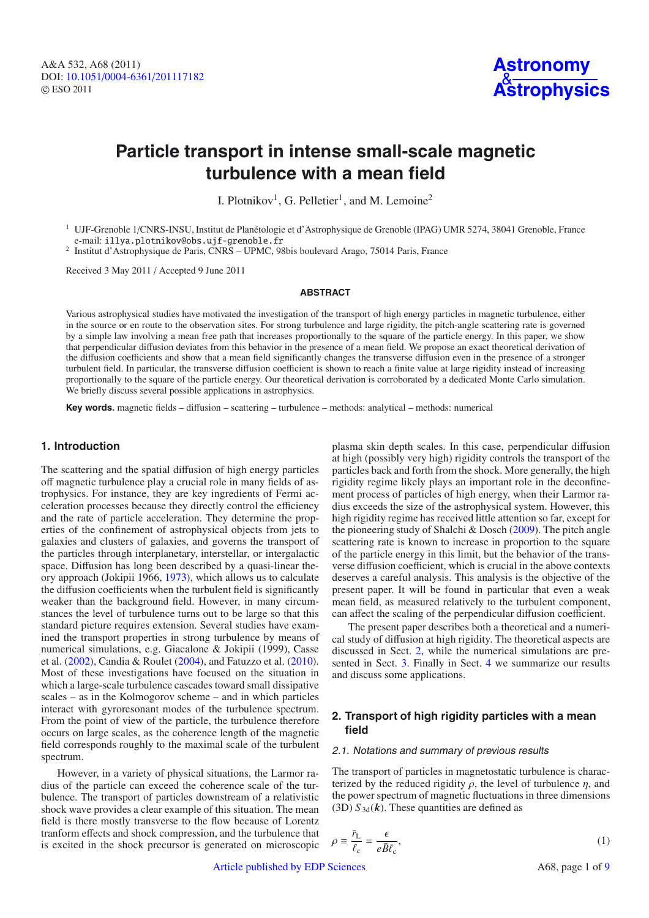A&A 532, A68 (2011) DOI: 10.1051/0004-6361/[201117182](http://dx.doi.org/10.1051/0004-6361/201117182) © ESO 2011



## **Particle transport in intense small-scale magnetic turbulence with a mean field**

I. Plotnikov<sup>1</sup>, G. Pelletier<sup>1</sup>, and M. Lemoine<sup>2</sup>

<sup>1</sup> UJF-Grenoble 1/CNRS-INSU, Institut de Planétologie et d'Astrophysique de Grenoble (IPAG) UMR 5274, 38041 Grenoble, France

e-mail: illya.plotnikov@obs.ujf-grenoble.fr <sup>2</sup> Institut d'Astrophysique de Paris, CNRS – UPMC, 98bis boulevard Arago, 75014 Paris, France

Received 3 May 2011 / Accepted 9 June 2011

#### **ABSTRACT**

Various astrophysical studies have motivated the investigation of the transport of high energy particles in magnetic turbulence, either in the source or en route to the observation sites. For strong turbulence and large rigidity, the pitch-angle scattering rate is governed by a simple law involving a mean free path that increases proportionally to the square of the particle energy. In this paper, we show that perpendicular diffusion deviates from this behavior in the presence of a mean field. We propose an exact theoretical derivation of the diffusion coefficients and show that a mean field significantly changes the transverse diffusion even in the presence of a stronger turbulent field. In particular, the transverse diffusion coefficient is shown to reach a finite value at large rigidity instead of increasing proportionally to the square of the particle energy. Our theoretical derivation is corroborated by a dedicated Monte Carlo simulation. We briefly discuss several possible applications in astrophysics.

**Key words.** magnetic fields – diffusion – scattering – turbulence – methods: analytical – methods: numerical

### **1. Introduction**

The scattering and the spatial diffusion of high energy particles off magnetic turbulence play a crucial role in many fields of astrophysics. For instance, they are key ingredients of Fermi acceleration processes because they directly control the efficiency and the rate of particle acceleration. They determine the properties of the confinement of astrophysical objects from jets to galaxies and clusters of galaxies, and governs the transport of the particles through interplanetary, interstellar, or intergalactic space. Diffusion has long been described by a quasi-linear theory approach (Jokipii 1966, 1973), which allows us to calculate the diffusion coefficients when the turbulent field is significantly weaker than the background field. However, in many circumstances the level of turbulence turns out to be large so that this standard picture requires extension. Several studies have examined the transport properties in strong turbulence by means of numerical simulations, e.g. Giacalone & Jokipii (1999), Casse et al. (2002), Candia & Roulet (2004), and Fatuzzo et al. (2010). Most of these investigations have focused on the situation in which a large-scale turbulence cascades toward small dissipative scales – as in the Kolmogorov scheme – and in which particles interact with gyroresonant modes of the turbulence spectrum. From the point of view of the particle, the turbulence therefore occurs on large scales, as the coherence length of the magnetic field corresponds roughly to the maximal scale of the turbulent spectrum.

However, in a variety of physical situations, the Larmor radius of the particle can exceed the coherence scale of the turbulence. The transport of particles downstream of a relativistic shock wave provides a clear example of this situation. The mean field is there mostly transverse to the flow because of Lorentz tranform effects and shock compression, and the turbulence that is excited in the shock precursor is generated on microscopic plasma skin depth scales. In this case, perpendicular diffusion at high (possibly very high) rigidity controls the transport of the particles back and forth from the shock. More generally, the high rigidity regime likely plays an important role in the deconfinement process of particles of high energy, when their Larmor radius exceeds the size of the astrophysical system. However, this high rigidity regime has received little attention so far, except for the pioneering study of Shalchi & Dosch (2009). The pitch angle scattering rate is known to increase in proportion to the square of the particle energy in this limit, but the behavior of the transverse diffusion coefficient, which is crucial in the above contexts deserves a careful analysis. This analysis is the objective of the present paper. It will be found in particular that even a weak mean field, as measured relatively to the turbulent component, can affect the scaling of the perpendicular diffusion coefficient.

The present paper describes both a theoretical and a numerical study of diffusion at high rigidity. The theoretical aspects are discussed in Sect. 2, while the numerical simulations are presented in Sect. 3. Finally in Sect. 4 we summarize our results and discuss some applications.

## **2. Transport of high rigidity particles with a mean field**

#### 2.1. Notations and summary of previous results

The transport of particles in magnetostatic turbulence is characterized by the reduced rigidity  $\rho$ , the level of turbulence  $\eta$ , and the power spectrum of magnetic fluctuations in three dimensions (3D)  $S_{3d}(k)$ . These quantities are defined as

$$
\rho \equiv \frac{\bar{r}_{\rm L}}{\ell_{\rm c}} = \frac{\epsilon}{e\bar{B}\ell_{\rm c}},\tag{1}
$$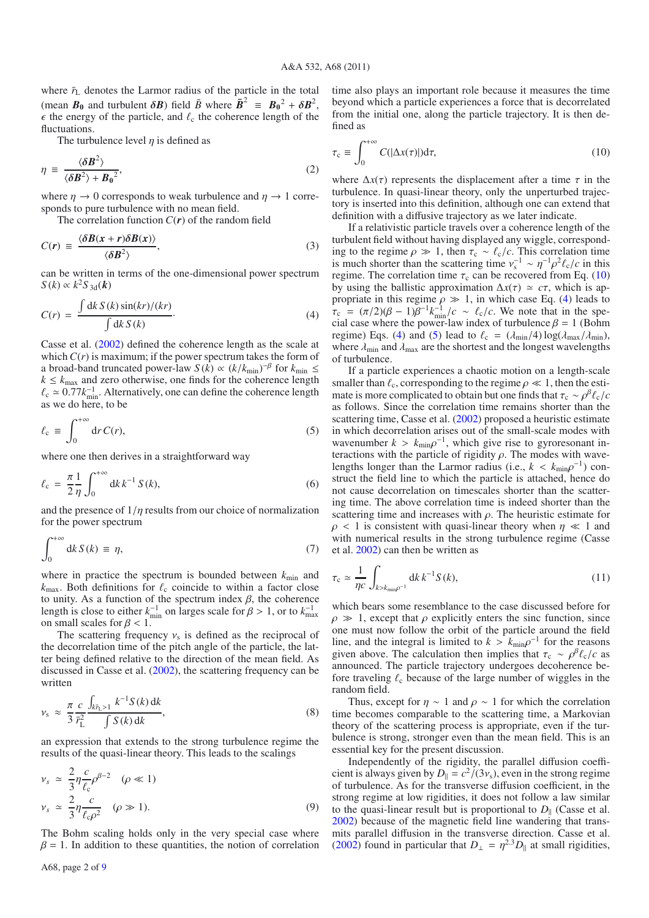where  $\bar{r}_L$  denotes the Larmor radius of the particle in the total (mean  $\mathbf{B}_0$  and turbulent  $\delta \mathbf{B}$ ) field  $\bar{B}$  where  $\bar{B}^2 \equiv \mathbf{B}_0^2 + \delta \mathbf{B}^2$ ,  $\epsilon$  the energy of the particle, and  $\ell_c$  the coherence length of the fluctuations fluctuations.

The turbulence level  $\eta$  is defined as

$$
\eta = \frac{\langle \delta \boldsymbol{B}^2 \rangle}{\langle \delta \boldsymbol{B}^2 \rangle + {\boldsymbol{B}_0}^2},\tag{2}
$$

where  $\eta \to 0$  corresponds to weak turbulence and  $\eta \to 1$  corresponds to pure turbulence with no mean field.

The correlation function  $C(r)$  of the random field

$$
C(r) \equiv \frac{\langle \delta B(x+r) \delta B(x) \rangle}{\langle \delta B^2 \rangle},\tag{3}
$$

can be written in terms of the one-dimensional power spectrum  $S(k) \propto k^2 S_{3d}(\boldsymbol{k})$ 

$$
C(r) = \frac{\int dk S(k) \sin(kr)/(kr)}{\int dk S(k)}.
$$
\n(4)

Casse et al. (2002) defined the coherence length as the scale at which  $C(r)$  is maximum; if the power spectrum takes the form of a broad-band truncated power-law  $S(k) \propto (k/k_{\text{min}})^{-\beta}$  for  $k_{\text{min}} \le k < k_{\text{max}}$  and zero otherwise, one finds for the coherence length  $k \leq k_{\text{max}}$  and zero otherwise, one finds for the coherence length  $\ell_c \approx 0.77k_{\text{min}}^{-1}$ . Alternatively, one can define the coherence length as we do here to be as we do here, to be

$$
\ell_{\rm c} \equiv \int_0^{+\infty} \mathrm{d}r \, C(r),\tag{5}
$$

where one then derives in a straightforward way

<sup>+</sup><sup>∞</sup>

$$
\ell_{\rm c} = \frac{\pi}{2} \frac{1}{\eta} \int_0^{+\infty} dk \, k^{-1} \, S(k), \tag{6}
$$

and the presence of  $1/\eta$  results from our choice of normalization for the power spectrum

$$
\int_0^{+\infty} \mathrm{d}k \, S(k) \equiv \eta,\tag{7}
$$

where in practice the spectrum is bounded between  $k_{\text{min}}$  and  $k_{\text{max}}$ . Both definitions for  $\ell_{\text{c}}$  coincide to within a factor close to unity. As a function of the spectrum index  $\beta$ , the coherence length is close to either  $k_{\text{min}}^{-1}$  on larges scale for  $\beta > 1$ , or to  $k_{\text{max}}^{-1}$ on small scales for  $\beta$  < 1.

The scattering frequency  $v_s$  is defined as the reciprocal of the decorrelation time of the pitch angle of the particle, the latter being defined relative to the direction of the mean field. As discussed in Casse et al. (2002), the scattering frequency can be written

$$
\nu_{s} \approx \frac{\pi}{3} \frac{c}{\bar{r}_{L}^{2}} \frac{\int_{k\bar{r}_{L}>1} k^{-1} S(k) dk}{\int S(k) dk},
$$
\n(8)

an expression that extends to the strong turbulence regime the results of the quasi-linear theory. This leads to the scalings

$$
\nu_s \simeq \frac{2}{3} \eta \frac{c}{\ell_c} \rho^{\beta - 2} \quad (\rho \ll 1)
$$
  

$$
\nu_s \simeq \frac{2}{3} \eta \frac{c}{\ell_c \rho^2} \quad (\rho \gg 1).
$$
 (9)

The Bohm scaling holds only in the very special case where  $\beta = 1$ . In addition to these quantities, the notion of correlation time also plays an important role because it measures the time beyond which a particle experiences a force that is decorrelated from the initial one, along the particle trajectory. It is then defined as

$$
\tau_{\rm c} \equiv \int_0^{+\infty} C(|\Delta x(\tau)|) d\tau,\tag{10}
$$

where  $\Delta x(\tau)$  represents the displacement after a time  $\tau$  in the turbulence. In quasi-linear theory, only the unperturbed trajectory is inserted into this definition, although one can extend that definition with a diffusive trajectory as we later indicate.

If a relativistic particle travels over a coherence length of the turbulent field without having displayed any wiggle, corresponding to the regime  $\rho \gg 1$ , then  $\tau_c \sim \ell_c/c$ . This correlation time is much shorter than the scattering time  $v_s^{-1} \sim \eta^{-1} \rho^2 \ell_c/c$  in this regime. The correlation time  $\tau_s$  can be recovered from Eq. (10) regime. The correlation time  $\tau_c$  can be recovered from Eq. (10) by using the ballistic approximation  $\Delta x(\tau) \simeq c\tau$ , which is appropriate in this regime  $\rho \gg 1$ , in which case Eq. (4) leads to  $\tau_{\rho} = (\pi/2)(\beta - 1)\beta^{-1}k^{-1}$   $/c \sim \ell_{\phi}/c$ . We note that in the spe- $\tau_c = (\pi/2)(\beta - 1)\bar{\beta}^{-1}k_{\text{min}}^{-1}/c \sim \ell_c/c$ . We note that in the special case where the nower-law index of turbulence  $\beta = 1$  (Bohm cial case where the power-law index of turbulence  $\beta = 1$  (Bohm regime) Eqs. (4) and (5) lead to  $\ell_c = (\lambda_{\text{min}}/4) \log(\lambda_{\text{max}}/\lambda_{\text{min}})$ , where  $\lambda_{\min}$  and  $\lambda_{\max}$  are the shortest and the longest wavelengths of turbulence.

If a particle experiences a chaotic motion on a length-scale smaller than  $\ell_c$ , corresponding to the regime  $\rho \ll 1$ , then the estimate is more complicated to obtain but one finds that  $\tau_c \sim \rho^{\beta} \ell_c/c$ as follows. Since the correlation time remains shorter than the scattering time, Casse et al. (2002) proposed a heuristic estimate in which decorrelation arises out of the small-scale modes with wavenumber  $k > k_{\text{min}} \rho^{-1}$ , which give rise to gyroresonant interactions with the particle of rigidity  $\rho$ . The modes with wavelengths longer than the Larmor radius (i.e.,  $k < k_{\text{min}}\rho^{-1}$ ) construct the field line to which the particle is attached, hence do not cause decorrelation on timescales shorter than the scattering time. The above correlation time is indeed shorter than the scattering time and increases with  $\rho$ . The heuristic estimate for  $\rho$  < 1 is consistent with quasi-linear theory when  $\eta \ll 1$  and with numerical results in the strong turbulence regime (Casse et al. 2002) can then be written as

$$
\tau_{\rm c} \simeq \frac{1}{\eta c} \int_{k > k_{\rm min}\rho^{-1}} \mathrm{d}k \, k^{-1} S(k),\tag{11}
$$

which bears some resemblance to the case discussed before for  $\rho \gg 1$ , except that  $\rho$  explicitly enters the sinc function, since one must now follow the orbit of the particle around the field line, and the integral is limited to  $k > k_{\text{min}}\rho^{-1}$  for the reasons given above. The calculation then implies that  $\tau_c \sim \rho^{\beta} \ell_c/c$  as announced. The particle trajectory undergoes decoherence before traveling  $\ell_c$  because of the large number of wiggles in the random field.

Thus, except for  $\eta \sim 1$  and  $\rho \sim 1$  for which the correlation time becomes comparable to the scattering time, a Markovian theory of the scattering process is appropriate, even if the turbulence is strong, stronger even than the mean field. This is an essential key for the present discussion.

Independently of the rigidity, the parallel diffusion coefficient is always given by  $D_{\parallel} = c^2/(3v_s)$ , even in the strong regime of turbulence. As for the transverse diffusion coefficient, in the strong regime at low rigidities, it does not follow a law similar to the quasi-linear result but is proportional to  $D_{\parallel}$  (Casse et al. 2002) because of the magnetic field line wandering that transmits parallel diffusion in the transverse direction. Casse et al. (2002) found in particular that  $D_{\perp} = \eta^{2.3} D_{\parallel}$  at small rigidities,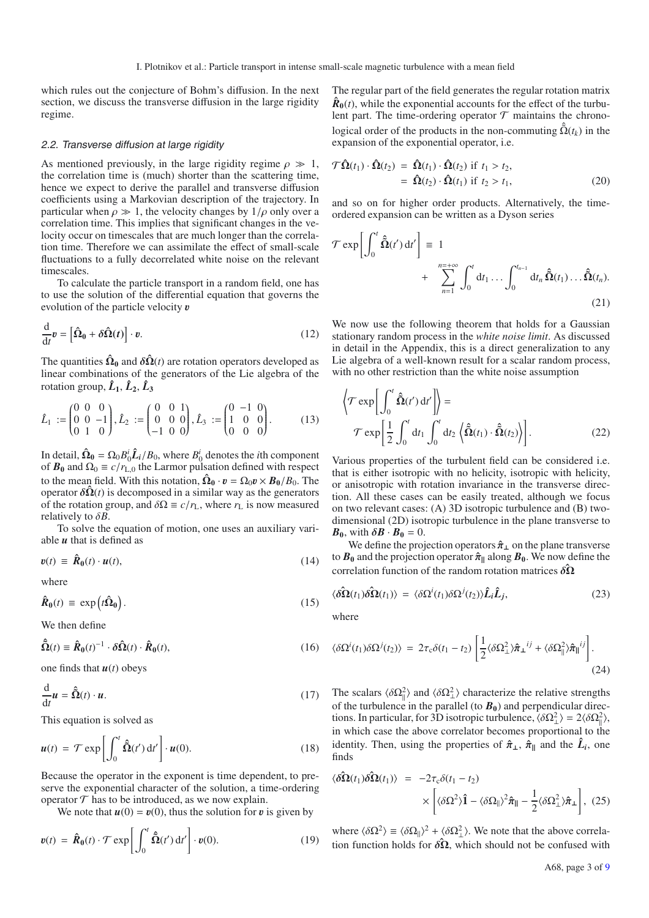which rules out the conjecture of Bohm's diffusion. In the next section, we discuss the transverse diffusion in the large rigidity regime.

#### 2.2. Transverse diffusion at large rigidity

As mentioned previously, in the large rigidity regime  $\rho \gg 1$ , the correlation time is (much) shorter than the scattering time, hence we expect to derive the parallel and transverse diffusion coefficients using a Markovian description of the trajectory. In particular when  $\rho \gg 1$ , the velocity changes by  $1/\rho$  only over a correlation time. This implies that significant changes in the velocity occur on timescales that are much longer than the correlation time. Therefore we can assimilate the effect of small-scale fluctuations to a fully decorrelated white noise on the relevant timescales.

To calculate the particle transport in a random field, one has to use the solution of the differential equation that governs the evolution of the particle velocity  $\boldsymbol{v}$ 

$$
\frac{\mathrm{d}}{\mathrm{d}t}v = \left[\hat{\Omega}_0 + \delta \hat{\Omega}(t)\right] \cdot v. \tag{12}
$$

The quantities  $\hat{\Omega}_0$  and  $\delta \hat{\Omega}$ (*t*) are rotation operators developed as linear combinations of the generators of the Lie algebra of the rotation group,  $\hat{\mathbf{L}}_1$ ,  $\hat{\mathbf{L}}_2$ ,  $\hat{\mathbf{L}}_3$ 

$$
\hat{L}_1 := \begin{pmatrix} 0 & 0 & 0 \\ 0 & 0 & -1 \\ 0 & 1 & 0 \end{pmatrix}, \hat{L}_2 := \begin{pmatrix} 0 & 0 & 1 \\ 0 & 0 & 0 \\ -1 & 0 & 0 \end{pmatrix}, \hat{L}_3 := \begin{pmatrix} 0 & -1 & 0 \\ 1 & 0 & 0 \\ 0 & 0 & 0 \end{pmatrix}.
$$
 (13)

In detail,  $\hat{\Omega}_0 = \Omega_0 B_0^i \hat{L}_i / B_0$ , where  $B_0^i$  denotes the *i*th component of  $\mathbf{B}_0$  and  $\Omega_0 = c/r_0$  a the Larmor pulsation defined with respect of  $\mathbf{B}_0$  and  $\Omega_0 \equiv c/r_{\text{L},0}$  the Larmor pulsation defined with respect<br>to the mean field. With this potation  $\hat{\mathbf{\Omega}}_{\text{S}}$ ,  $\mathbf{n} = \Omega_0 \mathbf{n} \times \mathbf{B}_0 / B_0$ . The to the mean field. With this notation,  $\hat{\Omega}_0 \cdot v = \Omega_0 v \times B_0 / B_0$ . The operator  $\delta \hat{Q}(t)$  is decomposed in a similar way as the generators of the rotation group, and  $\delta\Omega \equiv c/r_L$ , where  $r_L$  is now measured relatively to δ*B*.

To solve the equation of motion, one uses an auxiliary variable *u* that is defined as

$$
v(t) \equiv \hat{R}_0(t) \cdot u(t), \qquad (14)
$$

where

$$
\hat{\mathbf{R}}_0(t) \equiv \exp\left(t\hat{\mathbf{\Omega}}_0\right). \tag{15}
$$

We then define

$$
\hat{\tilde{\Omega}}(t) \equiv \hat{\boldsymbol{R}}_0(t)^{-1} \cdot \delta \hat{\Omega}(t) \cdot \hat{\boldsymbol{R}}_0(t), \qquad (16)
$$

one finds that  $u(t)$  obeys

$$
\frac{\mathrm{d}}{\mathrm{d}t}\boldsymbol{u} = \hat{\boldsymbol{\Omega}}(t) \cdot \boldsymbol{u}.\tag{17}
$$

This equation is solved as

$$
\boldsymbol{u}(t) = \mathcal{T} \exp\left[\int_0^t \boldsymbol{\hat{\Omega}}(t') dt'\right] \cdot \boldsymbol{u}(0). \tag{18}
$$

Because the operator in the exponent is time dependent, to preserve the exponential character of the solution, a time-ordering operator  $\mathcal T$  has to be introduced, as we now explain.

We note that  $u(0) = v(0)$ , thus the solution for v is given by

$$
\boldsymbol{v}(t) = \hat{\boldsymbol{R}}_0(t) \cdot \mathcal{T} \exp\left[\int_0^t \hat{\boldsymbol{\Omega}}(t') dt'\right] \cdot \boldsymbol{v}(0). \tag{19}
$$

The regular part of the field generates the regular rotation matrix  $\hat{\mathbf{R}}_0(t)$ , while the exponential accounts for the effect of the turbulent part. The time-ordering operator  $T$  maintains the chronological order of the products in the non-commuting  $\hat{\tilde{\Omega}}(t_k)$  in the expansion of the exponential operator, i.e.

$$
\mathcal{T}\hat{\Omega}(t_1) \cdot \hat{\Omega}(t_2) = \hat{\Omega}(t_1) \cdot \hat{\Omega}(t_2) \text{ if } t_1 > t_2,
$$
  
= 
$$
\hat{\Omega}(t_2) \cdot \hat{\Omega}(t_1) \text{ if } t_2 > t_1,
$$
 (20)

and so on for higher order products. Alternatively, the timeordered expansion can be written as a Dyson series

$$
\mathcal{T} \exp\left[\int_0^t \hat{\tilde{\mathbf{\Omega}}}(t') dt'\right] \equiv 1
$$
  
+ 
$$
\sum_{n=1}^{n=\infty} \int_0^t dt_1 \dots \int_0^{t_{n-1}} dt_n \hat{\tilde{\mathbf{\Omega}}}(t_1) \dots \hat{\tilde{\mathbf{\Omega}}}(t_n).
$$
(21)

We now use the following theorem that holds for a Gaussian stationary random process in the *white noise limit*. As discussed in detail in the Appendix, this is a direct generalization to any Lie algebra of a well-known result for a scalar random process, with no other restriction than the white noise assumption

$$
\left\langle \mathcal{T} \exp\left[\int_0^t \hat{\Omega}(t') dt'\right] \right\rangle = \mathcal{T} \exp\left[\frac{1}{2} \int_0^t dt_1 \int_0^t dt_2 \left\langle \hat{\Omega}(t_1) \cdot \hat{\Omega}(t_2) \right\rangle \right].
$$
 (22)

Various properties of the turbulent field can be considered i.e. that is either isotropic with no helicity, isotropic with helicity, or anisotropic with rotation invariance in the transverse direction. All these cases can be easily treated, although we focus on two relevant cases: (A) 3D isotropic turbulence and (B) twodimensional (2D) isotropic turbulence in the plane transverse to  $B_0$ , with  $\delta B \cdot B_0 = 0$ .

We define the projection operators π**ˆ**<sup>⊥</sup> on the plane transverse to  $B_0$  and the projection operator  $\hat{\pi}_{\parallel}$  along  $B_0$ . We now define the correlation function of the random rotation matrices δ**ˆ** Ω

$$
\langle \delta \hat{\Omega}(t_1) \delta \hat{\Omega}(t_1) \rangle = \langle \delta \Omega^i(t_1) \delta \Omega^j(t_2) \rangle \hat{\mathbf{L}}_i \hat{\mathbf{L}}_j,\tag{23}
$$

where

$$
\langle \delta \Omega^{i}(t_{1}) \delta \Omega^{j}(t_{2}) \rangle = 2\tau_{c} \delta(t_{1} - t_{2}) \left[ \frac{1}{2} \langle \delta \Omega_{\perp}^{2} \rangle \hat{\pi}_{\perp}^{ij} + \langle \delta \Omega_{\parallel}^{2} \rangle \hat{\pi}_{\parallel}^{ij} \right].
$$
\n(24)

The scalars  $\langle \delta \Omega_{\parallel}^2 \rangle$  and  $\langle \delta \Omega_{\perp}^2 \rangle$  characterize the relative strengths of the turbulence in the parallel (to  $R_2$ ) and perpendicular direcof the turbulence in the parallel (to  $\mathbf{B}_0$ ) and perpendicular directions. In particular, for 3D isotropic turbulence,  $\langle \delta \Omega_{\perp}^2 \rangle = 2 \langle \delta \Omega_{\parallel}^2 \rangle$ , in which case the above correlator becomes proportional to the in which case the above correlator becomes proportional to the identity. Then, using the properties of  $\hat{\pi}_{\perp}$ ,  $\hat{\pi}_{\parallel}$  and the  $\hat{L}_i$ , one finds

$$
\langle \delta \hat{\Omega}(t_1) \delta \hat{\Omega}(t_1) \rangle = -2\tau_c \delta(t_1 - t_2) \times \left[ \langle \delta \Omega^2 \rangle \hat{\mathbf{I}} - \langle \delta \Omega_{\parallel} \rangle^2 \hat{\pi}_{\parallel} - \frac{1}{2} \langle \delta \Omega^2_{\perp} \rangle \hat{\pi}_{\perp} \right], (25)
$$

where  $\langle \delta \Omega^2 \rangle \equiv \langle \delta \Omega_{\parallel} \rangle^2 + \langle \delta \Omega_{\perp}^2 \rangle$ . We note that the above correla-<br>tion function holds for  $\delta \Omega$ , which should not be confused with tion function holds for  $\delta \hat{\Omega}$ , which should not be confused with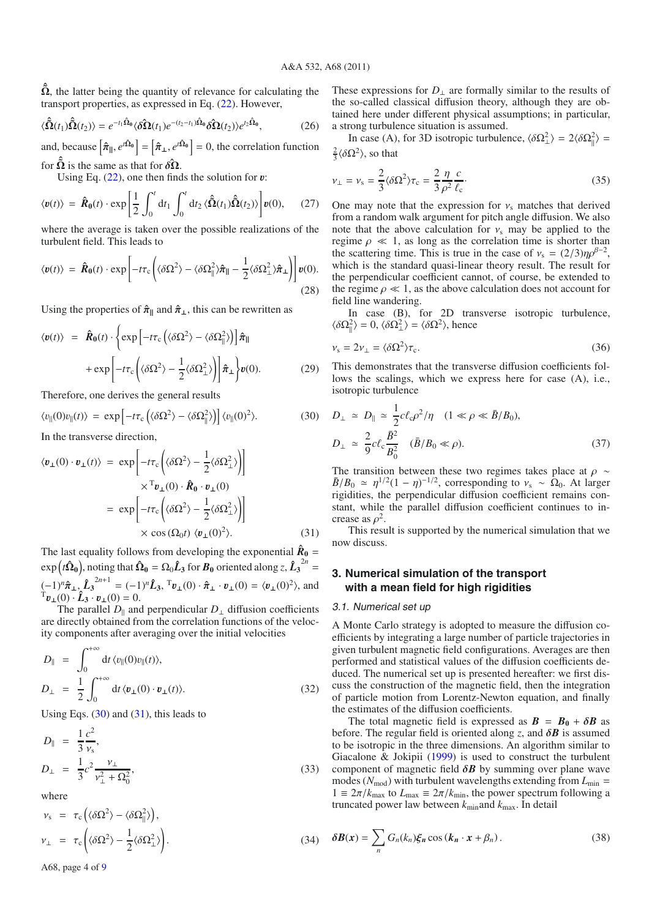$\hat{\Omega}$ , the latter being the quantity of relevance for calculating the transport properties, as expressed in Eq. (22). However,

$$
\langle \hat{\tilde{\Omega}}(t_1) \hat{\tilde{\Omega}}(t_2) \rangle = e^{-t_1 \hat{\Omega}_0} \langle \hat{\delta \Omega}(t_1) e^{-(t_2 - t_1) \hat{\Omega}_0} \hat{\delta \Omega}(t_2) \rangle e^{t_2 \hat{\Omega}_0}, \tag{26}
$$

and, because  $\left[\hat{\pi}_{\parallel}, e^{i\hat{\Omega}_{0}}\right] = \left[\hat{\pi}_{\perp}, e^{i\hat{\Omega}_{0}}\right] = 0$ , the correlation function for  $\hat{\tilde{\Omega}}$  is the same as that for  $\delta \hat{\Omega}$ .

Using Eq.  $(22)$ , one then finds the solution for  $\nu$ :

$$
\langle v(t) \rangle = \hat{\boldsymbol{R}}_0(t) \cdot \exp\left[\frac{1}{2} \int_0^t dt_1 \int_0^t dt_2 \langle \hat{\boldsymbol{\Omega}}(t_1) \hat{\boldsymbol{\Omega}}(t_2) \rangle \right] v(0), \quad (27)
$$

where the average is taken over the possible realizations of the turbulent field. This leads to

$$
\langle v(t) \rangle = \hat{\boldsymbol{R}}_0(t) \cdot \exp\left[ -t\tau_c \left( \langle \delta \Omega^2 \rangle - \langle \delta \Omega_{\parallel}^2 \rangle \hat{\boldsymbol{\pi}}_{\parallel} - \frac{1}{2} \langle \delta \Omega_{\perp}^2 \rangle \hat{\boldsymbol{\pi}}_{\perp} \right) \right] v(0). \tag{28}
$$

Using the properties of  $\hat{\pi}_{\parallel}$  and  $\hat{\pi}_{\perp}$ , this can be rewritten as

$$
\langle v(t) \rangle = \hat{\mathbf{R}}_0(t) \cdot \left\{ \exp\left[ -t\tau_c \left( \langle \delta \Omega^2 \rangle - \langle \delta \Omega_{\parallel}^2 \rangle \right) \right] \hat{\mathbf{\pi}}_{\parallel} + \exp\left[ -t\tau_c \left( \langle \delta \Omega^2 \rangle - \frac{1}{2} \langle \delta \Omega_{\perp}^2 \rangle \right) \right] \hat{\mathbf{\pi}}_{\perp} \right\} v(0). \tag{29}
$$

Therefore, one derives the general results

$$
\langle v_{\parallel}(0)v_{\parallel}(t)\rangle = \exp\left[-t\tau_{\rm c}\left(\langle\delta\Omega^2\rangle - \langle\delta\Omega_{\parallel}^2\rangle\right)\right]\langle v_{\parallel}(0)^2\rangle. \tag{30}
$$

In the transverse direction,

$$
\langle v_{\perp}(0) \cdot v_{\perp}(t) \rangle = \exp \left[ -t\tau_{c} \left( \langle \delta \Omega^{2} \rangle - \frac{1}{2} \langle \delta \Omega_{\perp}^{2} \rangle \right) \right]
$$
  

$$
\times \tau_{v_{\perp}(0)} \cdot \hat{\mathbf{R}}_{0} \cdot v_{\perp}(0)
$$
  

$$
= \exp \left[ -t\tau_{c} \left( \langle \delta \Omega^{2} \rangle - \frac{1}{2} \langle \delta \Omega_{\perp}^{2} \rangle \right) \right]
$$
  

$$
\times \cos \left( \Omega_{0} t \right) \langle v_{\perp}(0)^{2} \rangle.
$$
 (31)

The last equality follows from developing the exponential  $\hat{R}_0$  =  $\exp(t\hat{\Omega}_0)$ , noting that  $\hat{\Omega}_0 = \Omega_0 \hat{L}_3$  for  $B_0$  oriented along  $z$ ,  $\hat{L}_3^{-2n} = 0$  $(-1)^n \hat{\pi}_{\perp}$ ,  $\hat{L}_3^{2n+1} = (-1)^n \hat{L}_3$ ,  $^{\mathrm{T}} v_{\perp}(0) \cdot \hat{\pi}_{\perp} \cdot v_{\perp}(0) = \langle v_{\perp}(0)^2 \rangle$ , and  $\hat{u}_\perp(0) \cdot \hat{L}_3 \cdot v_\perp(0) = 0.$ 

The parallel  $D_{\parallel}$  and perpendicular  $D_{\perp}$  diffusion coefficients are directly obtained from the correlation functions of the velocity components after averaging over the initial velocities

$$
D_{\parallel} = \int_0^{+\infty} dt \langle v_{\parallel}(0)v_{\parallel}(t) \rangle,
$$
  
\n
$$
D_{\perp} = \frac{1}{2} \int_0^{+\infty} dt \langle v_{\perp}(0) \cdot v_{\perp}(t) \rangle.
$$
 (32)

Using Eqs.  $(30)$  and  $(31)$ , this leads to

$$
D_{\parallel} = \frac{1}{3} \frac{c^2}{\nu_s},
$$
  
\n
$$
D_{\perp} = \frac{1}{3} c^2 \frac{\nu_{\perp}}{\nu_{\perp}^2 + \Omega_0^2},
$$
\n(33)

where

$$
\nu_{s} = \tau_{c} \left( \langle \delta \Omega^{2} \rangle - \langle \delta \Omega_{\parallel}^{2} \rangle \right), \n\nu_{\perp} = \tau_{c} \left( \langle \delta \Omega^{2} \rangle - \frac{1}{2} \langle \delta \Omega_{\perp}^{2} \rangle \right).
$$
\n(34)

These expressions for  $D_{\perp}$  are formally similar to the results of the so-called classical diffusion theory, although they are obtained here under different physical assumptions; in particular, a strong turbulence situation is assumed.

In case (A), for 3D isotropic turbulence,  $\langle \delta \Omega_{\perp}^2 \rangle = 2 \langle \delta \Omega_{\parallel}^2 \rangle = \Omega_{\perp}^2$  $\frac{2}{3}\langle \delta \Omega^2 \rangle$ , so that

$$
\nu_{\perp} = \nu_{\rm s} = \frac{2}{3} \langle \delta \Omega^2 \rangle \tau_{\rm c} = \frac{2}{3} \frac{\eta}{\rho^2} \frac{c}{\ell_{\rm c}}.
$$
\n(35)

One may note that the expression for  $v_s$  matches that derived from a random walk argument for pitch angle diffusion. We also note that the above calculation for  $v_s$  may be applied to the regime  $\rho \ll 1$ , as long as the correlation time is shorter than the scattering time. This is true in the case of  $v_s = (2/3)\eta \rho^{\beta-2}$ , which is the standard quasi-linear theory result. The result for the perpendicular coefficient cannot, of course, be extended to the regime  $\rho \ll 1$ , as the above calculation does not account for field line wandering.

In case (B), for 2D transverse isotropic turbulence,  $\langle \delta \Omega_{\parallel}^2 \rangle = 0$ ,  $\langle \delta \Omega_{\perp}^2 \rangle = \langle \delta \Omega^2 \rangle$ , hence

$$
\nu_{\rm s} = 2\nu_{\perp} = \langle \delta \Omega^2 \rangle \tau_{\rm c}.
$$
\n(36)

This demonstrates that the transverse diffusion coefficients follows the scalings, which we express here for case (A), i.e., isotropic turbulence

$$
D_{\perp} \simeq D_{\parallel} \simeq \frac{1}{2} c \ell_{\rm c} \rho^2 / \eta \quad (1 \ll \rho \ll \bar{B}/B_0),
$$
  
\n
$$
D_{\perp} \simeq \frac{2}{9} c \ell_{\rm c} \frac{\bar{B}^2}{B_0^2} \quad (\bar{B}/B_0 \ll \rho).
$$
 (37)

The transition between these two regimes takes place at  $\rho \sim \bar{R}/R_0 \simeq n^{1/2}(1-n)^{-1/2}$  corresponding to  $\nu_n \sim \Omega_0$ . At larger  $\bar{B}/B_0 \simeq \eta^{1/2}(1-\eta)^{-1/2}$ , corresponding to  $v_s \sim \Omega_0$ . At larger rigidities the perpendicular diffusion coefficient remains conrigidities, the perpendicular diffusion coefficient remains constant, while the parallel diffusion coefficient continues to increase as  $\rho^2$ .

This result is supported by the numerical simulation that we now discuss.

## **3. Numerical simulation of the transport with a mean field for high rigidities**

#### 3.1. Numerical set up

A Monte Carlo strategy is adopted to measure the diffusion coefficients by integrating a large number of particle trajectories in given turbulent magnetic field configurations. Averages are then performed and statistical values of the diffusion coefficients deduced. The numerical set up is presented hereafter: we first discuss the construction of the magnetic field, then the integration of particle motion from Lorentz-Newton equation, and finally the estimates of the diffusion coefficients.

The total magnetic field is expressed as  $B = B_0 + \delta B$  as before. The regular field is oriented along *z*, and  $\delta B$  is assumed to be isotropic in the three dimensions. An algorithm similar to Giacalone & Jokipii (1999) is used to construct the turbulent component of magnetic field  $\delta$ *B* by summing over plane wave modes ( $N_{\text{mod}}$ ) with turbulent wavelengths extending from  $L_{\text{min}} =$  $1 \equiv 2\pi/k_{\text{max}}$  to  $L_{\text{max}} \equiv 2\pi/k_{\text{min}}$ , the power spectrum following a truncated power law between  $k_{\text{min}}$  and  $k_{\text{max}}$ . In detail

$$
4) \quad \delta \boldsymbol{B}(\boldsymbol{x}) = \sum_{n} G_{n}(k_{n}) \xi_{n} \cos(k_{n} \cdot \boldsymbol{x} + \beta_{n}). \tag{38}
$$

A68, page 4 of 9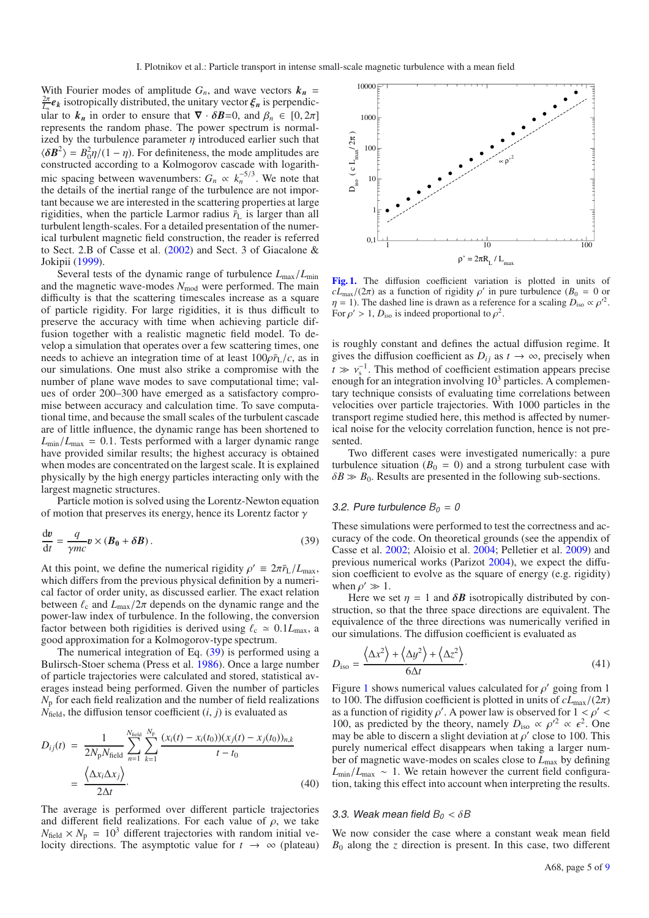With Fourier modes of amplitude *G<sub>n</sub>*, and wave vectors  $k_n = \frac{2\pi}{L_n} e_k$  isotropically distributed, the unitary vector  $\xi_n$  is perpendicular to  $k_n$  in order to ensure that  $\nabla \cdot \delta \mathbf{B} = 0$ , and  $\beta_n \in [0, 2\pi]$ represents the random phase. The power spectrum is normalized by the turbulence parameter  $\eta$  introduced earlier such that  $\langle \delta \vec{B}^2 \rangle = B_0^2 \eta/(1 - \eta)$ . For definiteness, the mode amplitudes are constructed according to a Kolmogorov cascade with logarithconstructed according to a Kolmogorov cascade with logarithmic spacing between wavenumbers:  $G_n \propto k_n^{-5/3}$ . We note that the details of the inertial range of the turbulence are not important because we are interested in the scattering properties at large rigidities, when the particle Larmor radius  $\bar{r}_L$  is larger than all turbulent length-scales. For a detailed presentation of the numerical turbulent magnetic field construction, the reader is referred to Sect. 2.B of Casse et al. (2002) and Sect. 3 of Giacalone & Jokipii (1999).

Several tests of the dynamic range of turbulence  $L_{\text{max}}/L_{\text{min}}$ and the magnetic wave-modes  $N_{\text{mod}}$  were performed. The main difficulty is that the scattering timescales increase as a square of particle rigidity. For large rigidities, it is thus difficult to preserve the accuracy with time when achieving particle diffusion together with a realistic magnetic field model. To develop a simulation that operates over a few scattering times, one needs to achieve an integration time of at least  $100\rho\bar{r}_1/c$ , as in our simulations. One must also strike a compromise with the number of plane wave modes to save computational time; values of order 200–300 have emerged as a satisfactory compromise between accuracy and calculation time. To save computational time, and because the small scales of the turbulent cascade are of little influence, the dynamic range has been shortened to  $L_{\text{min}}/L_{\text{max}} = 0.1$ . Tests performed with a larger dynamic range have provided similar results; the highest accuracy is obtained when modes are concentrated on the largest scale. It is explained physically by the high energy particles interacting only with the largest magnetic structures.

Particle motion is solved using the Lorentz-Newton equation of motion that preserves its energy, hence its Lorentz factor  $\gamma$ 

$$
\frac{\mathrm{d}v}{\mathrm{d}t} = \frac{q}{\gamma mc} v \times (B_0 + \delta B). \tag{39}
$$

At this point, we define the numerical rigidity  $\rho' \equiv 2\pi \bar{r}_L/L_{\text{max}}$ , which differs from the previous physical definition by a numerical factor of order unity, as discussed earlier. The exact relation between  $\ell_c$  and  $L_{\text{max}}/2\pi$  depends on the dynamic range and the power-law index of turbulence. In the following, the conversion factor between both rigidities is derived using  $\ell_c \approx 0.1 L_{\text{max}}$ , a good approximation for a Kolmogorov-type spectrum.

The numerical integration of Eq. (39) is performed using a Bulirsch-Stoer schema (Press et al. 1986). Once a large number of particle trajectories were calculated and stored, statistical averages instead being performed. Given the number of particles  $N<sub>p</sub>$  for each field realization and the number of field realizations  $N_{\text{field}}$ , the diffusion tensor coefficient  $(i, j)$  is evaluated as

$$
D_{ij}(t) = \frac{1}{2N_p N_{\text{field}}} \sum_{n=1}^{N_{\text{field}}} \sum_{k=1}^{N_p} \frac{(x_i(t) - x_i(t_0))(x_j(t) - x_j(t_0))_{n,k}}{t - t_0}
$$
  
= 
$$
\frac{\langle \Delta x_i \Delta x_j \rangle}{2\Delta t}.
$$
 (40)

The average is performed over different particle trajectories and different field realizations. For each value of  $\rho$ , we take  $N_{\text{field}} \times N_{\text{p}} = 10^3$  different trajectories with random initial velocity directions. The asymptotic value for  $t \to \infty$  (plateau)



**[Fig. 1.](http://dexter.edpsciences.org/applet.php?DOI=10.1051/0004-6361/201117182&pdf_id=1)** The diffusion coefficient variation is plotted in units of  $c\overline{L}_{\text{max}}/(2\pi)$  as a function of rigidity  $\rho'$  in pure turbulence ( $B_0 = 0$  or  $\eta = 1$ ). The dashed line is drawn as a reference for a scaling  $D_{\text{iso}} \propto \rho'^2$ . For  $\rho' > 1$ ,  $D_{\text{iso}}$  is indeed proportional to  $\rho^2$ .

is roughly constant and defines the actual diffusion regime. It gives the diffusion coefficient as  $D_{ij}$  as  $t \to \infty$ , precisely when  $t \gg v_s^{-1}$ . This method of coefficient estimation appears precise<br>enough for an integration involving 10<sup>3</sup> particles. A complemenenough for an integration involving  $10<sup>3</sup>$  particles. A complementary technique consists of evaluating time correlations between velocities over particle trajectories. With 1000 particles in the transport regime studied here, this method is affected by numerical noise for the velocity correlation function, hence is not presented.

Two different cases were investigated numerically: a pure turbulence situation ( $B_0 = 0$ ) and a strong turbulent case with  $\delta B \gg B_0$ . Results are presented in the following sub-sections.

#### 3.2. Pure turbulence  $B_0 = 0$

These simulations were performed to test the correctness and accuracy of the code. On theoretical grounds (see the appendix of Casse et al. 2002; Aloisio et al. 2004; Pelletier et al. 2009) and previous numerical works (Parizot 2004), we expect the diffusion coefficient to evolve as the square of energy (e.g. rigidity) when  $\rho' \gg 1$ .

Here we set  $\eta = 1$  and  $\delta \mathbf{B}$  isotropically distributed by construction, so that the three space directions are equivalent. The equivalence of the three directions was numerically verified in our simulations. The diffusion coefficient is evaluated as

$$
D_{\rm iso} = \frac{\langle \Delta x^2 \rangle + \langle \Delta y^2 \rangle + \langle \Delta z^2 \rangle}{6\Delta t}.
$$
 (41)

Figure 1 shows numerical values calculated for  $\rho'$  going from 1 to 100. The diffusion coefficient is plotted in units of  $cL_{\text{max}}/(2\pi)$ as a function of rigidity  $\rho'$ . A power law is observed for  $1 < \rho' <$ <br>100 as predicted by the theory namely  $D_{\text{iso}} \propto \rho'^2 \propto \epsilon^2$ . One 100, as predicted by the theory, namely  $D_{\text{iso}} \propto \rho'^2 \propto \epsilon^2$ . One may be able to discern a slight deviation at  $\rho'$  close to 100. This purely numerical effect disappears when taking a larger number of magnetic wave-modes on scales close to *L*max by defining  $L_{\text{min}}/L_{\text{max}} \sim 1$ . We retain however the current field configuration, taking this effect into account when interpreting the results.

#### 3.3. Weak mean field  $B_0 < \delta B$

We now consider the case where a constant weak mean field  $B_0$  along the *z* direction is present. In this case, two different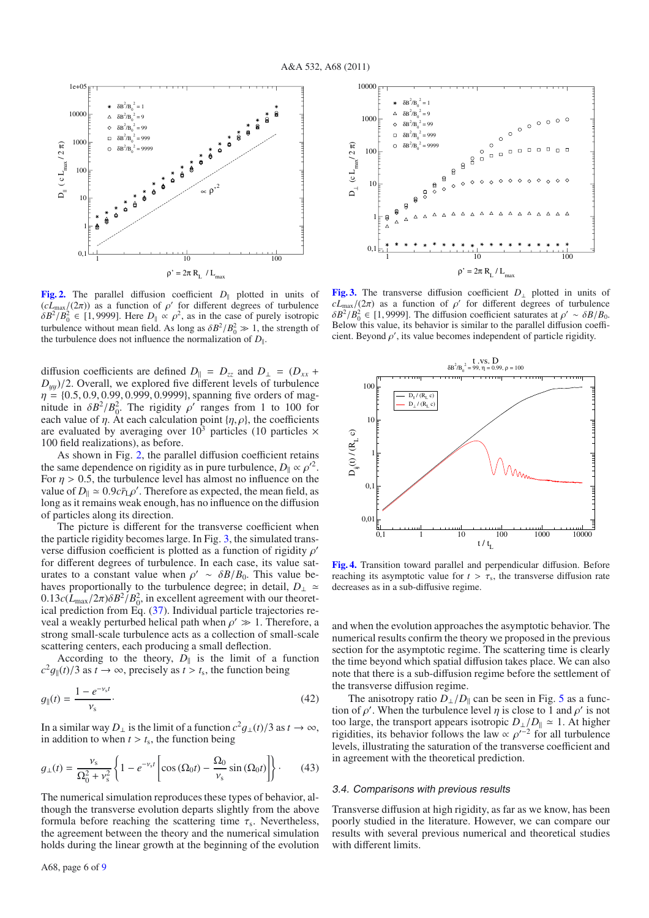

**[Fig. 2.](http://dexter.edpsciences.org/applet.php?DOI=10.1051/0004-6361/201117182&pdf_id=2)** The parallel diffusion coefficient  $D_{\parallel}$  plotted in units of  $(cL_{\text{max}}/(2\pi))$  as a function of  $\rho'$  for different degrees of turbulence  $\delta B^2/B_0^2 \in [1, 9999]$ . Here  $D_{\parallel} \propto \rho^2$ , as in the case of purely isotropic turbulence without mean field. As long as  $\delta B^2/B^2 \gg 1$ , the strength of turbulence without mean field. As long as  $\delta B^2/B_0^2 \gg 1$ , the strength of the turbulence does not influence the normalization of  $D_0$ the turbulence does not influence the normalization of  $D_{\parallel}$ .

diffusion coefficients are defined  $D_{\parallel} = D_{zz}$  and  $D_{\perp} = (D_{xx} + D_{yy})$  $D_{yy}$ )/2. Overall, we explored five different levels of turbulence  $\eta = \{0.5, 0.9, 0.99, 0.999, 0.9999\}$ , spanning five orders of magnitude in  $\delta B^2/B_0^2$ . The rigidity  $\rho'$  ranges from 1 to 100 for each value of  $\eta$ . At each calculation point  $\{\eta, \rho\}$ , the coefficients are evaluated by averaging over  $10^3$  particles (10 particles  $\times$ 100 field realizations), as before.

As shown in Fig. 2, the parallel diffusion coefficient retains the same dependence on rigidity as in pure turbulence,  $D_{\parallel} \propto \rho'^2$ . For  $\eta > 0.5$ , the turbulence level has almost no influence on the value of  $D_{\parallel} \simeq 0.9c\bar{r}_{\perp}\rho'$ . Therefore as expected, the mean field, as long as it remains weak enough has no influence on the diffusion long as it remains weak enough, has no influence on the diffusion of particles along its direction.

The picture is different for the transverse coefficient when the particle rigidity becomes large. In Fig. 3, the simulated transverse diffusion coefficient is plotted as a function of rigidity  $\rho'$ for different degrees of turbulence. In each case, its value saturates to a constant value when  $\rho' \sim \delta B/B_0$ . This value behaves proportionally to the turbulence degree; in detail,  $D_{\perp} \simeq$  $0.13c(\overline{L}_{\text{max}}/2\pi)\delta B^2/B_0^2$ , in excellent agreement with our theoret-<br>ical prediction from Eq. (37) Individual particle trajectories reical prediction from Eq. (37). Individual particle trajectories reveal a weakly perturbed helical path when  $\rho' \gg 1$ . Therefore, a strong small-scale turbulence acts as a collection of small-scale scattering centers, each producing a small deflection.

According to the theory,  $D_{\parallel}$  is the limit of a function  $c^2g_{\parallel}(t)/3$  as  $t \to \infty$ , precisely as  $t > t_s$ , the function being

$$
g_{\parallel}(t) = \frac{1 - e^{-\nu_s t}}{\nu_s}.
$$
\n(42)

In a similar way *D*<sub>⊥</sub> is the limit of a function  $c^2g_{\perp}(t)/3$  as  $t \to \infty$ , in addition to when  $t > t_s$ , the function being

$$
g_{\perp}(t) = \frac{\nu_{\rm s}}{\Omega_0^2 + \nu_{\rm s}^2} \left\{ 1 - e^{-\nu_{\rm s}t} \left[ \cos \left( \Omega_0 t \right) - \frac{\Omega_0}{\nu_{\rm s}} \sin \left( \Omega_0 t \right) \right] \right\}.
$$
 (43)

The numerical simulation reproduces these types of behavior, although the transverse evolution departs slightly from the above formula before reaching the scattering time  $\tau_s$ . Nevertheless, the agreement between the theory and the numerical simulation holds during the linear growth at the beginning of the evolution



**[Fig. 3.](http://dexter.edpsciences.org/applet.php?DOI=10.1051/0004-6361/201117182&pdf_id=3)** The transverse diffusion coefficient *D*<sup>⊥</sup> plotted in units of  $cL_{\text{max}}/(2\pi)$  as a function of  $\rho'$  for different degrees of turbulence  $\delta B^2/B_0^2 \in [1, 9999]$ . The diffusion coefficient saturates at  $\rho' \sim \delta B/B_0$ .<br>Below this value, its behavior is similar to the parallel diffusion coeffi-Below this value, its behavior is similar to the parallel diffusion coefficient. Beyond  $\rho'$ , its value becomes independent of particle rigidity.



**[Fig. 4.](http://dexter.edpsciences.org/applet.php?DOI=10.1051/0004-6361/201117182&pdf_id=4)** Transition toward parallel and perpendicular diffusion. Before reaching its asymptotic value for  $t > \tau_s$ , the transverse diffusion rate decreases as in a sub-diffusive regime.

and when the evolution approaches the asymptotic behavior. The numerical results confirm the theory we proposed in the previous section for the asymptotic regime. The scattering time is clearly the time beyond which spatial diffusion takes place. We can also note that there is a sub-diffusion regime before the settlement of the transverse diffusion regime.

The anisotropy ratio  $D_{\perp}/D_{\parallel}$  can be seen in Fig. 5 as a function of  $\rho'$ . When the turbulence level  $\eta$  is close to 1 and  $\rho'$  is not too large the transport appears isotropic  $D_{\nu}/D_{\nu} \approx 1$ . At higher too large, the transport appears isotropic  $D_{\perp}/D_{\parallel} \simeq 1$ . At higher rigidities, its behavior follows the law  $\propto \rho^{-2}$  for all turbulence levels, illustrating the saturation of the transverse coefficient and in agreement with the theoretical prediction.

#### 3.4. Comparisons with previous results

Transverse diffusion at high rigidity, as far as we know, has been poorly studied in the literature. However, we can compare our results with several previous numerical and theoretical studies with different limits.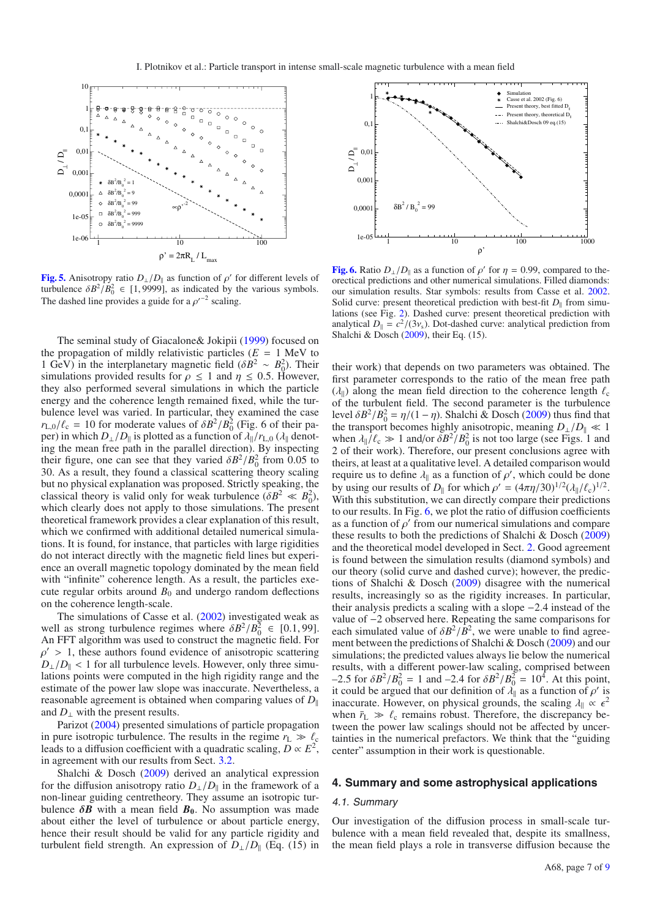

**[Fig. 5.](http://dexter.edpsciences.org/applet.php?DOI=10.1051/0004-6361/201117182&pdf_id=5)** Anisotropy ratio  $D_{\perp}/D_{\parallel}$  as function of  $\rho'$  for different levels of turbulence  $\delta B^2/B_0^2 \in [1, 9999]$ , as indicated by the various symbols.<br>The deshed line provides a quide for a  $\alpha'^{-2}$  scaling The dashed line provides a guide for a  $\rho'^{-2}$  scaling.

The seminal study of Giacalone& Jokipii (1999) focused on the propagation of mildly relativistic particles  $(E = 1 \text{ MeV}$  to 1 GeV) in the interplanetary magnetic field  $(\delta B^2 \sim B_0^2)$ . Their simulations provided results for  $\rho \le 1$  and  $n \le 0.5$  However simulations provided results for  $\rho \le 1$  and  $\eta \le 0.5$ . However, they also performed several simulations in which the particle energy and the coherence length remained fixed, while the turbulence level was varied. In particular, they examined the case *r*<sub>L,0</sub>/ $\ell_c = 10$  for moderate values of  $\delta B^2/B_0^2$  (Fig. 6 of their pa-<br>per) in which *D*, *D*<sub>u</sub> is plotted as a function of  $\lambda_u/r$ ,  $\alpha$  *(d*<sub>u</sub> denotper) in which  $D_{\perp}/D_{\parallel}$  is plotted as a function of  $\lambda_{\parallel}/r_{\rm L,0}$  ( $\lambda_{\parallel}$  denoting the mean free path in the parallel direction). By inspecting their figure, one can see that they varied  $\delta B^2/B_0^2$  from 0.05 to 30. As a result they found a classical scattering theory scaling 30. As a result, they found a classical scattering theory scaling but no physical explanation was proposed. Strictly speaking, the classical theory is valid only for weak turbulence  $(\delta B^2 \ll B_0^2)$ , which clearly does not apply to those simulations. The present which clearly does not apply to those simulations. The present theoretical framework provides a clear explanation of this result, which we confirmed with additional detailed numerical simulations. It is found, for instance, that particles with large rigidities do not interact directly with the magnetic field lines but experience an overall magnetic topology dominated by the mean field with "infinite" coherence length. As a result, the particles execute regular orbits around  $B_0$  and undergo random deflections on the coherence length-scale.

The simulations of Casse et al. (2002) investigated weak as well as strong turbulence regimes where  $\delta B^2/B_0^2 \in [0.1, 99]$ .<br>An FFT algorithm was used to construct the magnetic field For An FFT algorithm was used to construct the magnetic field. For  $\rho' > 1$ , these authors found evidence of anisotropic scattering  $D_{\perp}/D_{\parallel}$  < 1 for all turbulence levels. However, only three simulations points were computed in the high rigidity range and the estimate of the power law slope was inaccurate. Nevertheless, a reasonable agreement is obtained when comparing values of *D* and  $D_{\perp}$  with the present results.

Parizot (2004) presented simulations of particle propagation in pure isotropic turbulence. The results in the regime  $r_{\rm L} \gg \ell_{\rm c}$ leads to a diffusion coefficient with a quadratic scaling,  $D \propto E^2$ , in agreement with our results from Sect. 3.2.

Shalchi & Dosch (2009) derived an analytical expression for the diffusion anisotropy ratio  $D_{\perp}/D_{\parallel}$  in the framework of a non-linear guiding centretheory. They assume an isotropic turbulence  $\delta B$  with a mean field  $B_0$ . No assumption was made about either the level of turbulence or about particle energy, hence their result should be valid for any particle rigidity and turbulent field strength. An expression of  $D_{\perp}/D_{\parallel}$  (Eq. (15) in



**[Fig. 6.](http://dexter.edpsciences.org/applet.php?DOI=10.1051/0004-6361/201117182&pdf_id=6)** Ratio  $D_{\perp}/D_{\parallel}$  as a function of  $\rho'$  for  $\eta = 0.99$ , compared to theorectical predictions and other numerical simulations. Filled diamonds: our simulation results. Star symbols: results from Casse et al. 2002. Solid curve: present theoretical prediction with best-fit  $D_{\parallel}$  from simulations (see Fig. 2). Dashed curve: present theoretical prediction with analytical  $D_{\parallel} = c^2/(3v_s)$ . Dot-dashed curve: analytical prediction from Shalchi & Dosch (2009), their Eq. (15).

their work) that depends on two parameters was obtained. The first parameter corresponds to the ratio of the mean free path  $(\lambda_{\parallel})$  along the mean field direction to the coherence length  $\ell_c$ of the turbulent field. The second parameter is the turbulence level  $\delta B^2/B_0^2 = \eta/(1-\eta)$ . Shalchi & Dosch (2009) thus find that the transport becomes highly anisotropic meaning  $D_1/D_0 \ll 1$ the transport becomes highly anisotropic, meaning  $D_{\perp}/D_{\parallel} \ll 1$ when  $\lambda_{\parallel}/\ell_{\rm c} \gg 1$  and/or  $\delta B^2/B_0^2$  is not too large (see Figs. 1 and 2 of their work) Therefore, our present conclusions agree with 2 of their work). Therefore, our present conclusions agree with theirs, at least at a qualitative level. A detailed comparison would require us to define  $\lambda_{\parallel}$  as a function of  $\rho'$ , which could be done<br>by using our results of  $D_{\parallel}$  for which  $\rho' = (A\pi n/30)^{1/2}(\lambda_{\parallel}/\ell_{\parallel})^{1/2}$ by using our results of  $D_{\parallel}$  for which  $\rho' = (4\pi\eta/30)^{1/2} (\lambda_{\parallel}/\ell_c)^{1/2}$ .<br>With this substitution, we can directly compare their predictions With this substitution, we can directly compare their predictions to our results. In Fig. 6, we plot the ratio of diffusion coefficients as a function of  $\rho'$  from our numerical simulations and compare these results to both the predictions of Shalchi & Dosch (2009) and the theoretical model developed in Sect. 2. Good agreement is found between the simulation results (diamond symbols) and our theory (solid curve and dashed curve); however, the predictions of Shalchi & Dosch (2009) disagree with the numerical results, increasingly so as the rigidity increases. In particular, their analysis predicts a scaling with a slope <sup>−</sup>2.4 instead of the value of −2 observed here. Repeating the same comparisons for each simulated value of  $\delta B^2/\bar{B}^2$ , we were unable to find agree-<br>ment between the predictions of Shalchi & Dosch (2009) and our ment between the predictions of Shalchi & Dosch (2009) and our simulations; the predicted values always lie below the numerical results, with a different power-law scaling, comprised between  $-2.5$  for  $\delta B^2/B_0^2 = 1$  and  $-2.4$  for  $\delta B^2/B_0^2 = 10^4$ . At this point, it could be aroued that our definition of  $\lambda_u$  as a function of  $\rho'$  is it could be argued that our definition of  $\lambda_{\parallel}$  as a function of  $\rho'$  is inaccurate. However, on physical grounds, the scaling  $\lambda_{\parallel} \propto \epsilon^2$ when  $\bar{r}_L \gg \ell_c$  remains robust. Therefore, the discrepancy between the power law scalings should not be affected by uncertainties in the numerical prefactors. We think that the "guiding center" assumption in their work is questionable.

### **4. Summary and some astrophysical applications**

#### 4.1. Summary

Our investigation of the diffusion process in small-scale turbulence with a mean field revealed that, despite its smallness, the mean field plays a role in transverse diffusion because the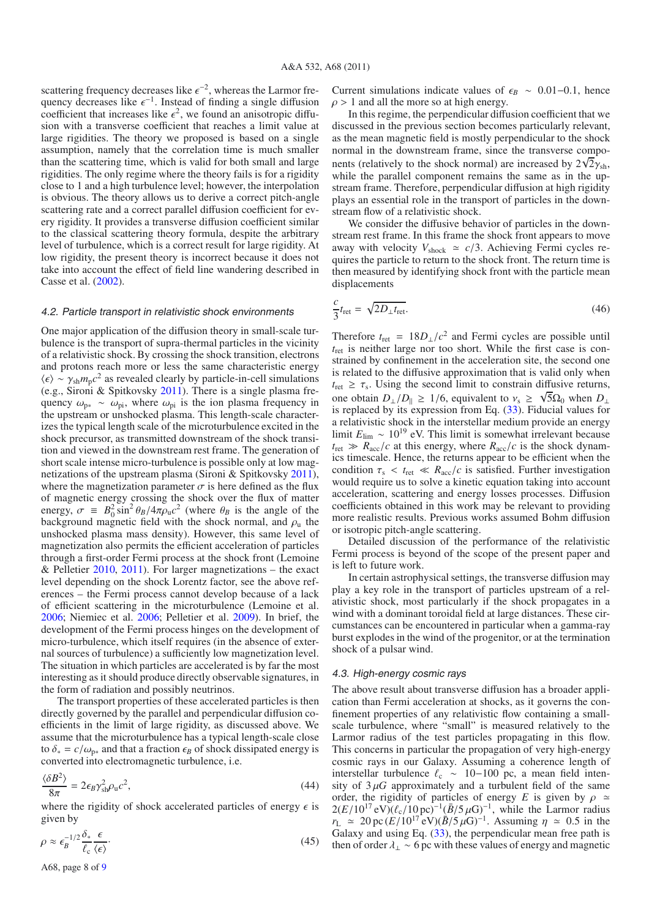scattering frequency decreases like  $\epsilon^{-2}$ , whereas the Larmor frequency decreases like  $\epsilon^{-1}$ . Instead of finding a single diffusion coefficient that increases like  $\epsilon^2$ , we found an anisotropic diffusion with a transverse coefficient that reaches a limit value at large rigidities. The theory we proposed is based on a single assumption, namely that the correlation time is much smaller than the scattering time, which is valid for both small and large rigidities. The only regime where the theory fails is for a rigidity close to 1 and a high turbulence level; however, the interpolation is obvious. The theory allows us to derive a correct pitch-angle scattering rate and a correct parallel diffusion coefficient for every rigidity. It provides a transverse diffusion coefficient similar to the classical scattering theory formula, despite the arbitrary level of turbulence, which is a correct result for large rigidity. At low rigidity, the present theory is incorrect because it does not take into account the effect of field line wandering described in Casse et al. (2002).

#### 4.2. Particle transport in relativistic shock environments

One major application of the diffusion theory in small-scale turbulence is the transport of supra-thermal particles in the vicinity of a relativistic shock. By crossing the shock transition, electrons and protons reach more or less the same characteristic energy  $\langle \epsilon \rangle \sim \gamma_{\rm sh} m_{\rm p} c^2$  as revealed clearly by particle-in-cell simulations (e.g., Sironi & Spitkovsky 2011). There is a single plasma frequency  $\omega_{p*} \sim \omega_{pi}$ , where  $\omega_{pi}$  is the ion plasma frequency in the upstream or unshocked plasma. This length-scale characterizes the typical length scale of the microturbulence excited in the shock precursor, as transmitted downstream of the shock transition and viewed in the downstream rest frame. The generation of short scale intense micro-turbulence is possible only at low magnetizations of the upstream plasma (Sironi & Spitkovsky 2011), where the magnetization parameter  $\sigma$  is here defined as the flux of magnetic energy crossing the shock over the flux of matter energy,  $\sigma = B_0^2 \sin^2 \theta_B / 4\pi \rho_u c^2$  (where  $\theta_B$  is the angle of the background magnetic field with the shock normal and  $\rho_u$  the background magnetic field with the shock normal, and  $\rho$ <sub>u</sub> the unshocked plasma mass density). However, this same level of magnetization also permits the efficient acceleration of particles through a first-order Fermi process at the shock front (Lemoine & Pelletier  $2010$ ,  $2011$ ). For larger magnetizations – the exact level depending on the shock Lorentz factor, see the above references – the Fermi process cannot develop because of a lack of efficient scattering in the microturbulence (Lemoine et al. 2006; Niemiec et al. 2006; Pelletier et al. 2009). In brief, the development of the Fermi process hinges on the development of micro-turbulence, which itself requires (in the absence of external sources of turbulence) a sufficiently low magnetization level. The situation in which particles are accelerated is by far the most interesting as it should produce directly observable signatures, in the form of radiation and possibly neutrinos.

The transport properties of these accelerated particles is then directly governed by the parallel and perpendicular diffusion coefficients in the limit of large rigidity, as discussed above. We assume that the microturbulence has a typical length-scale close to  $\delta_* = c/\omega_{\rm D*}$  and that a fraction  $\epsilon_B$  of shock dissipated energy is converted into electromagnetic turbulence, i.e.

$$
\frac{\langle \delta B^2 \rangle}{8\pi} = 2\epsilon_B \gamma_{\rm sh}^2 \rho_u c^2,
$$
\n(44)  
\nwhere the rigidity of shock accelerated particles of energy c is

where the rigidity of shock accelerated particles of energy  $\epsilon$  is given by given by

$$
\rho \approx \epsilon_B^{-1/2} \frac{\delta_*}{\ell_c} \frac{\epsilon}{\langle \epsilon \rangle}.
$$
\n(45)

Current simulations indicate values of  $\epsilon_B \sim 0.01-0.1$ , hence  $\rho > 1$  and all the more so at high energy.

In this regime, the perpendicular diffusion coefficient that we discussed in the previous section becomes particularly relevant, as the mean magnetic field is mostly perpendicular to the shock normal in the downstream frame, since the transverse componormal in the downstream frame, since the transverse components (relatively to the shock normal) are increased by  $2\sqrt{2}\gamma_{\rm sh}$ , while the parallel component remains the same as in the unwhile the parallel component remains the same as in the upstream frame. Therefore, perpendicular diffusion at high rigidity plays an essential role in the transport of particles in the downstream flow of a relativistic shock.

We consider the diffusive behavior of particles in the downstream rest frame. In this frame the shock front appears to move away with velocity  $V_{\text{shock}} \simeq c/3$ . Achieving Fermi cycles requires the particle to return to the shock front. The return time is then measured by identifying shock front with the particle mean displacements

$$
\frac{c}{3}t_{\rm ret} = \sqrt{2D_{\perp}t_{\rm ret}}.\tag{46}
$$

Therefore  $t_{\text{ret}} = 18D_{\perp}/c^2$  and Fermi cycles are possible until *t*ret is neither large nor too short. While the first case is constrained by confinement in the acceleration site, the second one is related to the diffusive approximation that is valid only when  $t_{\text{ret}} \geq \tau_{\text{s}}$ . Using the second limit to constrain diffusive returns,  $\tau_{\text{ret}} \geq \tau_s$ . Using the second fimit to constrain diffusive returns,<br>one obtain *D*<sub>⊥</sub>/*D*<sub>||</sub> ≥ 1/6, equivalent to  $v_s \geq \sqrt{5}\Omega_0$  when *D*<sub>⊥</sub><br>is replaced by its expression from Eq. (33) Fiducial values for is replaced by its expression from Eq. (33). Fiducial values for a relativistic shock in the interstellar medium provide an energy limit  $E$ <sub>lim</sub> ∼ 10<sup>19</sup> eV. This limit is somewhat irrelevant because  $t_{\text{ret}} \gg R_{\text{acc}}/c$  at this energy, where  $R_{\text{acc}}/c$  is the shock dynamics timescale. Hence, the returns appear to be efficient when the condition  $\tau_s < t_{\text{ret}} \ll R_{\text{acc}}/c$  is satisfied. Further investigation would require us to solve a kinetic equation taking into account acceleration, scattering and energy losses processes. Diffusion coefficients obtained in this work may be relevant to providing more realistic results. Previous works assumed Bohm diffusion or isotropic pitch-angle scattering.

Detailed discussion of the performance of the relativistic Fermi process is beyond of the scope of the present paper and is left to future work.

In certain astrophysical settings, the transverse diffusion may play a key role in the transport of particles upstream of a relativistic shock, most particularly if the shock propagates in a wind with a dominant toroidal field at large distances. These circumstances can be encountered in particular when a gamma-ray burst explodes in the wind of the progenitor, or at the termination shock of a pulsar wind.

#### 4.3. High-energy cosmic rays

The above result about transverse diffusion has a broader application than Fermi acceleration at shocks, as it governs the confinement properties of any relativistic flow containing a smallscale turbulence, where "small" is measured relatively to the Larmor radius of the test particles propagating in this flow. This concerns in particular the propagation of very high-energy cosmic rays in our Galaxy. Assuming a coherence length of interstellar turbulence  $\ell_c \sim 10-100$  pc, a mean field intensity of  $3 \mu$ *G* approximately and a turbulent field of the same order, the rigidity of particles of energy *E* is given by  $\rho \simeq$  $2(E/10^{17} \text{ eV})(\ell_c/10 \text{ pc})^{-1} (\bar{B}/5 \mu \text{G})^{-1}$ , while the Larmor radius  $r_{\rm L} \simeq 20 \,\rm pc \, (E/10^{17} \, \rm eV) (\bar{B}/5 \, \mu G)^{-1}$ . Assuming  $\eta \simeq 0.5$  in the Galaxy and using Eq. (33), the perpendicular mean free path is then of order  $\lambda_{\perp} \sim 6$  pc with these values of energy and magnetic